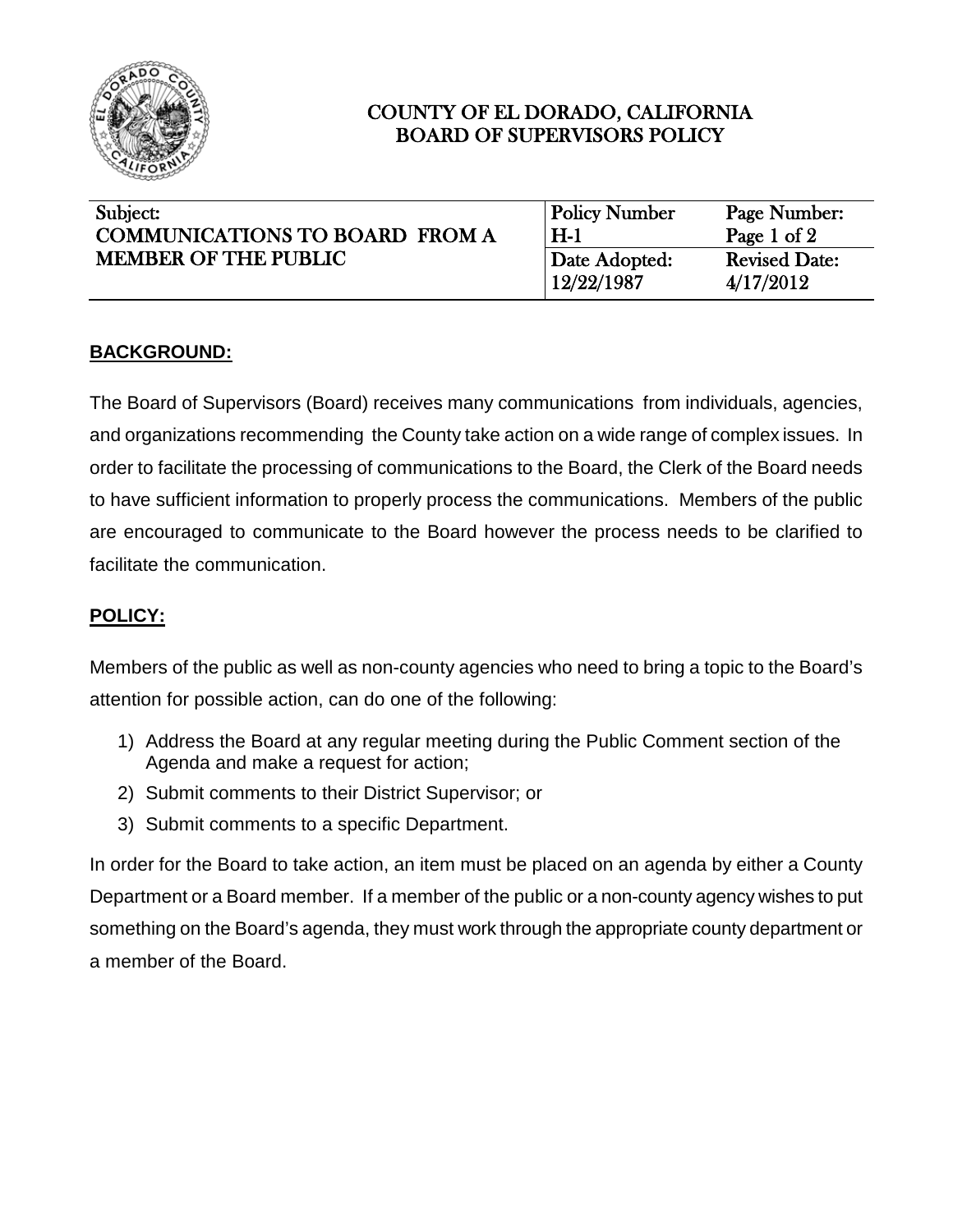

# COUNTY OF EL DORADO, CALIFORNIA BOARD OF SUPERVISORS POLICY

| Subject:<br><b>COMMUNICATIONS TO BOARD FROM A</b><br><b>MEMBER OF THE PUBLIC</b> | <b>Policy Number</b><br>$H-1$ | Page Number:<br>Page 1 of 2       |
|----------------------------------------------------------------------------------|-------------------------------|-----------------------------------|
|                                                                                  | Date Adopted:<br>  12/22/1987 | <b>Revised Date:</b><br>4/17/2012 |

## **BACKGROUND:**

The Board of Supervisors (Board) receives many communications from individuals, agencies, and organizations recommending the County take action on a wide range of complex issues. In order to facilitate the processing of communications to the Board, the Clerk of the Board needs to have sufficient information to properly process the communications. Members of the public are encouraged to communicate to the Board however the process needs to be clarified to facilitate the communication.

### **POLICY:**

Members of the public as well as non-county agencies who need to bring a topic to the Board's attention for possible action, can do one of the following:

- 1) Address the Board at any regular meeting during the Public Comment section of the Agenda and make a request for action;
- 2) Submit comments to their District Supervisor; or
- 3) Submit comments to a specific Department.

In order for the Board to take action, an item must be placed on an agenda by either a County Department or a Board member. If a member of the public or a non-county agency wishes to put something on the Board's agenda, they must work through the appropriate county department or a member of the Board.